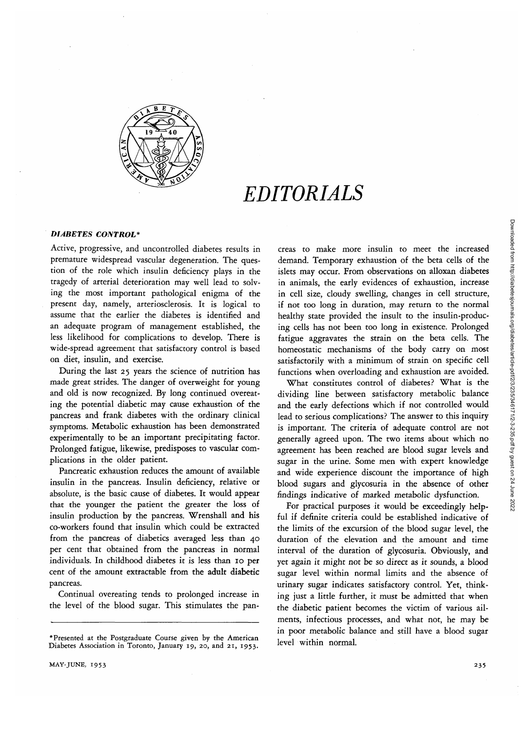

## *EDITORIALS*

## *DIABETES CONTROL\**

Active, progressive, and uncontrolled diabetes results in premature widespread vascular degeneration. The question of the role which insulin deficiency plays in the tragedy of arterial deterioration may well lead to solving the most important pathological enigma of the present day, namely, arteriosclerosis. It is logical to assume that the earlier the diabetes is identified and an adequate program of management established, the less likelihood for complications to develop. There is wide-spread agreement that satisfactory control is based on diet, insulin, and exercise.

During the last 25 years the science of nutrition has made great strides. The danger of overweight for young and old is now recognized. By long continued overeating the potential diabetic may cause exhaustion of the pancreas and frank diabetes with the ordinary clinical symptoms. Metabolic exhaustion has been demonstrated experimentally to be an important precipitating factor. Prolonged fatigue, likewise, predisposes to vascular complications in the older patient.

Pancreatic exhaustion reduces the amount of available insulin in the pancreas. Insulin deficiency, relative or absolute, is the basic cause of diabetes. It would appear that the younger the patient the greater the loss of insulin production by the pancreas. Wrenshall and his co-workers found that insulin which could be extracted from the pancreas of diabetics averaged less than 40 per cent that obtained from the pancreas in normal individuals. In childhood diabetes it is less than 10 per cent of the amount extractable from the adult diabetic pancreas.

Continual overeating tends to prolonged increase in the level of the blood sugar. This stimulates the pancreas to make more insulin to meet the increased demand. Temporary exhaustion of the beta cells of the islets may occur. From observations on alloxan diabetes in animals, the early evidences of exhaustion, increase in cell size, cloudy swelling, changes in cell structure, if not too long in duration, may return to the normal healthy state provided the insult to the insulin-producing cells has not been too long in existence. Prolonged fatigue aggravates the strain on the beta cells. The homeostatic mechanisms of the body carry on most satisfactorily with a minimum of strain on specific cell functions when overloading and exhaustion are avoided.

What constitutes control of diabetes? What is the dividing line between satisfactory metabolic balance and the early defections which if not controlled would lead to serious complications? The answer to this inquiry is important. The criteria of adequate control are not generally agreed upon. The two items about which no agreement has been reached are blood sugar levels and sugar in the urine. Some men with expert knowledge and wide experience discount the importance of high blood sugars and glycosuria in the absence of other findings indicative of marked metabolic dysfunction.

For practical purposes it would be exceedingly helpful if definite criteria could be established indicative of the limits of the excursion of the blood sugar level, the duration of the elevation and the amount and time interval of the duration of glycosuria. Obviously, and yet again it might not be so direct as it sounds, a blood sugar level within normal limits and the absence of urinary sugar indicates satisfactory control. Yet, thinking just a little further, it must be admitted that when the diabetic patient becomes the victim of various ailments, infectious processes, and what not, he may be in poor metabolic balance and still have a blood sugar level within normal.

<sup>\*</sup> Presented at the Postgraduate Course given by the American Diabetes Association in Toronto, January 19, 20, and 21, 1953.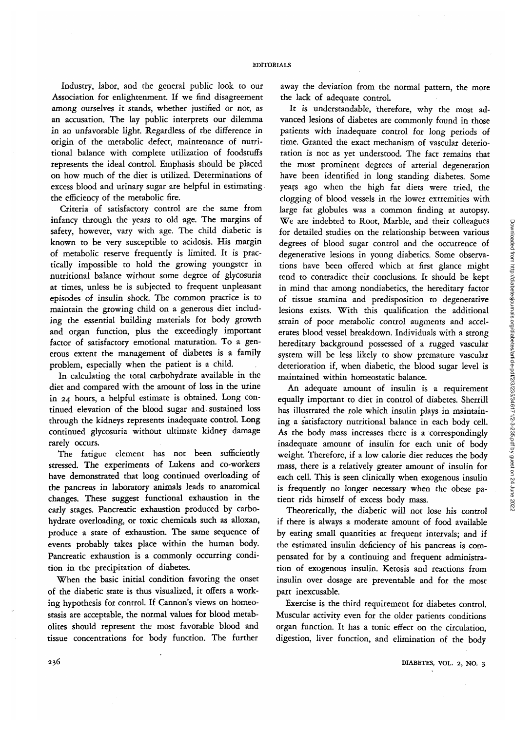Industry, labor, and the general public look to our Association for enlightenment. If we find disagreement among ourselves it stands, whether justified or not, as an accusation. The lay public interprets our dilemma in an unfavorable light. Regardless of the difference in origin of the metabolic defect, maintenance of nutritional balance with complete utilization of foodstuffs represents the ideal control. Emphasis should be placed on how much of the diet is utilized. Determinations of excess blood and urinary sugar are helpful in estimating the efficiency of the metabolic fire.

Criteria of satisfactory control are the same from infancy through the years to old age. The margins of safety, however, vary with age. The child diabetic is known to be very susceptible to acidosis. His margin of metabolic reserve frequently is limited. It is practically impossible to hold the growing youngster in nutritional balance without some degree of glycosuria at times, unless he is subjected to frequent unpleasant episodes of insulin shock. The common practice is to maintain the growing child on a generous diet including the essential building materials for body growth and organ function, plus the exceedingly important factor of satisfactory emotional maturation. To a generous extent the management of diabetes is a family problem, especially when the patient is a child.

In calculating the total carbohydrate available in the diet and compared with the amount of loss in the urine in 24 hours, a helpful estimate is obtained. Long continued elevation of the blood sugar and sustained loss through the kidneys represents inadequate control. Long continued glycosuria without ultimate kidney damage rarely occurs.

The fatigue element has not been sufficiently stressed. The experiments of Lukens and co-workers have demonstrated that long continued overloading of the pancreas in laboratory animals leads to anatomical changes. These suggest functional exhaustion in the early stages. Pancreatic exhaustion produced by carbohydrate overloading, or toxic chemicals such as alloxan, produce a state of exhaustion. The same sequence of events probably takes place within the human body. Pancreatic exhaustion is a commonly occurring condition in the precipitation of diabetes.

When the basic initial condition favoring the onset of the diabetic state is thus visualized, it offers a working hypothesis for control. If Cannon's views on homeostasis are acceptable, the normal values for blood metabolites should represent the most favorable blood and tissue concentrations for body function. The further

away the deviation from the normal pattern, the more the lack of adequate control.

It is understandable, therefore, why the most advanced lesions of diabetes are commonly found in those patients with inadequate control for long periods of time. Granted the exact mechanism of vascular deterioration is not as yet understood. The fact remains that the most prominent degrees of arterial degeneration have been identified in long standing diabetes. Some years ago when the high fat diets were tried, the clogging of blood vessels in the lower extremities with large fat globules was a common finding at autopsy. We are indebted to Root, Marble, and their colleagues for detailed studies on the relationship between various degrees of blood sugar control and the occurrence of degenerative lesions in young diabetics. Some observations have been offered which at first glance might tend to contradict their conclusions. It should be kept in mind that among nondiabetics, the hereditary factor of tissue stamina and predisposition to degenerative lesions exists. With this qualification the additional strain of poor metabolic control augments and accelerates blood vessel breakdown. Individuals with a strong hereditary background possessed of a rugged vascular system will be less likely to show premature vascular deterioration if, when diabetic, the blood sugar level is maintained within homeostatic balance.

An adequate amount of insulin is a requirement equally important to diet in control of diabetes. Sherrill has illustrated the role which insulin plays in maintaining a satisfactory nutritional balance in each body cell. As the body mass increases there is a correspondingly inadequate amount of insulin for each unit of body weight. Therefore, if a low calorie diet reduces the body mass, there is a relatively greater amount of insulin for each cell. This is seen clinically when exogenous insulin is frequently no longer necessary when the obese patient rids himself of excess body mass.

Theoretically, the diabetic will not lose his control if there is always a moderate amount of food available by eating small quantities at frequent intervals; and if the estimated insulin deficiency of his pancreas is compensated for by a continuing and frequent administration of exogenous insulin. Ketosis and reactions from insulin over dosage are preventable and for the most part inexcusable.

Exercise is the third requirement for diabetes control. Muscular activity even for the older patients conditions organ function. It has a tonic effect on the circulation, digestion, liver function, and elimination of the body